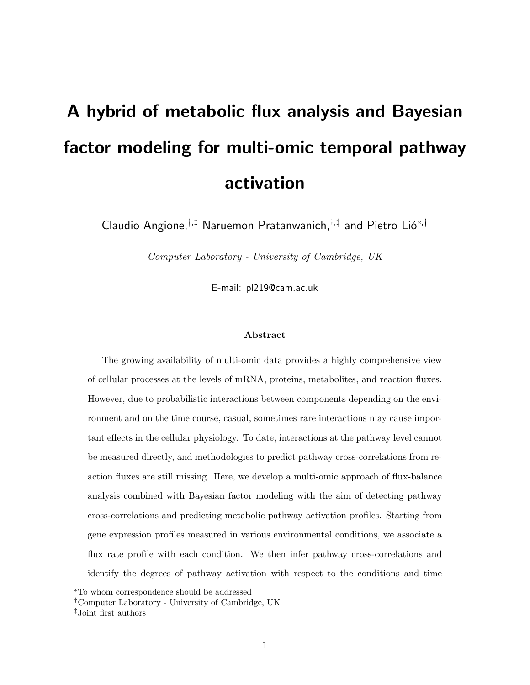# A hybrid of metabolic flux analysis and Bayesian factor modeling for multi-omic temporal pathway activation

Claudio Angione,  $^{\dagger,\ddagger}$  Naruemon Pratanwanich,  $^{\dagger,\ddagger}$  and Pietro Lió<sup>\*, †</sup>

Computer Laboratory - University of Cambridge, UK

E-mail: pl219@cam.ac.uk

#### Abstract

The growing availability of multi-omic data provides a highly comprehensive view of cellular processes at the levels of mRNA, proteins, metabolites, and reaction fluxes. However, due to probabilistic interactions between components depending on the environment and on the time course, casual, sometimes rare interactions may cause important effects in the cellular physiology. To date, interactions at the pathway level cannot be measured directly, and methodologies to predict pathway cross-correlations from reaction fluxes are still missing. Here, we develop a multi-omic approach of flux-balance analysis combined with Bayesian factor modeling with the aim of detecting pathway cross-correlations and predicting metabolic pathway activation profiles. Starting from gene expression profiles measured in various environmental conditions, we associate a flux rate profile with each condition. We then infer pathway cross-correlations and identify the degrees of pathway activation with respect to the conditions and time

<sup>∗</sup>To whom correspondence should be addressed

<sup>†</sup>Computer Laboratory - University of Cambridge, UK

<sup>‡</sup>Joint first authors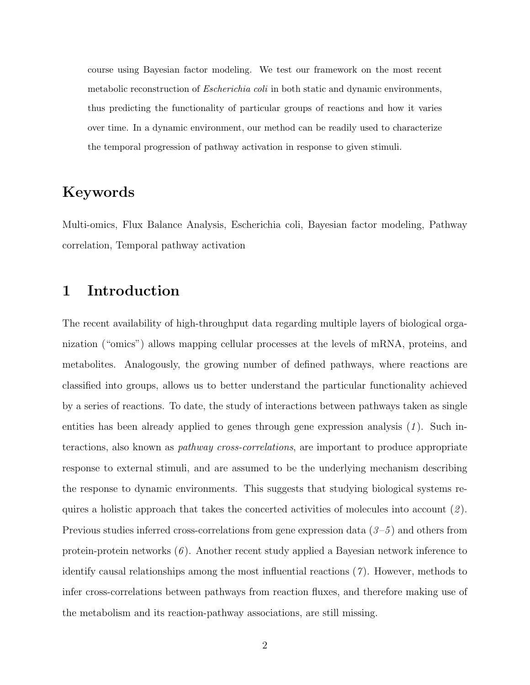course using Bayesian factor modeling. We test our framework on the most recent metabolic reconstruction of *Escherichia coli* in both static and dynamic environments, thus predicting the functionality of particular groups of reactions and how it varies over time. In a dynamic environment, our method can be readily used to characterize the temporal progression of pathway activation in response to given stimuli.

## Keywords

Multi-omics, Flux Balance Analysis, Escherichia coli, Bayesian factor modeling, Pathway correlation, Temporal pathway activation

## 1 Introduction

The recent availability of high-throughput data regarding multiple layers of biological organization ("omics") allows mapping cellular processes at the levels of mRNA, proteins, and metabolites. Analogously, the growing number of defined pathways, where reactions are classified into groups, allows us to better understand the particular functionality achieved by a series of reactions. To date, the study of interactions between pathways taken as single entities has been already applied to genes through gene expression analysis  $(1)$ . Such interactions, also known as pathway cross-correlations, are important to produce appropriate response to external stimuli, and are assumed to be the underlying mechanism describing the response to dynamic environments. This suggests that studying biological systems requires a holistic approach that takes the concerted activities of molecules into account  $(2)$ . Previous studies inferred cross-correlations from gene expression data  $(3-5)$  and others from protein-protein networks  $(6)$ . Another recent study applied a Bayesian network inference to identify causal relationships among the most influential reactions  $(7)$ . However, methods to infer cross-correlations between pathways from reaction fluxes, and therefore making use of the metabolism and its reaction-pathway associations, are still missing.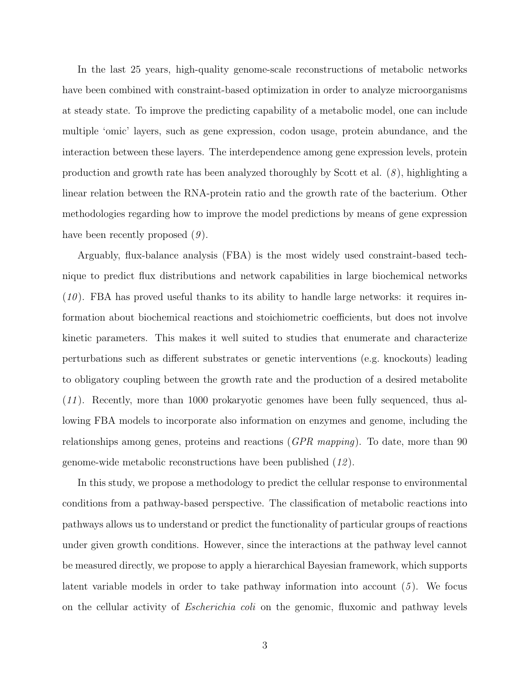In the last 25 years, high-quality genome-scale reconstructions of metabolic networks have been combined with constraint-based optimization in order to analyze microorganisms at steady state. To improve the predicting capability of a metabolic model, one can include multiple 'omic' layers, such as gene expression, codon usage, protein abundance, and the interaction between these layers. The interdependence among gene expression levels, protein production and growth rate has been analyzed thoroughly by Scott et al.  $(8)$ , highlighting a linear relation between the RNA-protein ratio and the growth rate of the bacterium. Other methodologies regarding how to improve the model predictions by means of gene expression have been recently proposed  $(9)$ .

Arguably, flux-balance analysis (FBA) is the most widely used constraint-based technique to predict flux distributions and network capabilities in large biochemical networks  $(10)$ . FBA has proved useful thanks to its ability to handle large networks: it requires information about biochemical reactions and stoichiometric coefficients, but does not involve kinetic parameters. This makes it well suited to studies that enumerate and characterize perturbations such as different substrates or genetic interventions (e.g. knockouts) leading to obligatory coupling between the growth rate and the production of a desired metabolite (11 ). Recently, more than 1000 prokaryotic genomes have been fully sequenced, thus allowing FBA models to incorporate also information on enzymes and genome, including the relationships among genes, proteins and reactions (GPR mapping). To date, more than 90 genome-wide metabolic reconstructions have been published (12 ).

In this study, we propose a methodology to predict the cellular response to environmental conditions from a pathway-based perspective. The classification of metabolic reactions into pathways allows us to understand or predict the functionality of particular groups of reactions under given growth conditions. However, since the interactions at the pathway level cannot be measured directly, we propose to apply a hierarchical Bayesian framework, which supports latent variable models in order to take pathway information into account  $(5)$ . We focus on the cellular activity of *Escherichia coli* on the genomic, fluxomic and pathway levels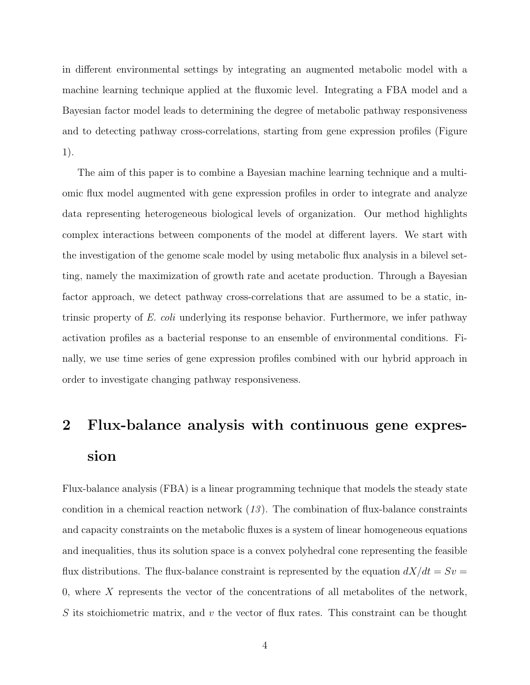in different environmental settings by integrating an augmented metabolic model with a machine learning technique applied at the fluxomic level. Integrating a FBA model and a Bayesian factor model leads to determining the degree of metabolic pathway responsiveness and to detecting pathway cross-correlations, starting from gene expression profiles (Figure 1).

The aim of this paper is to combine a Bayesian machine learning technique and a multiomic flux model augmented with gene expression profiles in order to integrate and analyze data representing heterogeneous biological levels of organization. Our method highlights complex interactions between components of the model at different layers. We start with the investigation of the genome scale model by using metabolic flux analysis in a bilevel setting, namely the maximization of growth rate and acetate production. Through a Bayesian factor approach, we detect pathway cross-correlations that are assumed to be a static, intrinsic property of E. coli underlying its response behavior. Furthermore, we infer pathway activation profiles as a bacterial response to an ensemble of environmental conditions. Finally, we use time series of gene expression profiles combined with our hybrid approach in order to investigate changing pathway responsiveness.

## 2 Flux-balance analysis with continuous gene expression

Flux-balance analysis (FBA) is a linear programming technique that models the steady state condition in a chemical reaction network  $(13)$ . The combination of flux-balance constraints and capacity constraints on the metabolic fluxes is a system of linear homogeneous equations and inequalities, thus its solution space is a convex polyhedral cone representing the feasible flux distributions. The flux-balance constraint is represented by the equation  $dX/dt = Sv =$ 0, where  $X$  represents the vector of the concentrations of all metabolites of the network, S its stoichiometric matrix, and v the vector of flux rates. This constraint can be thought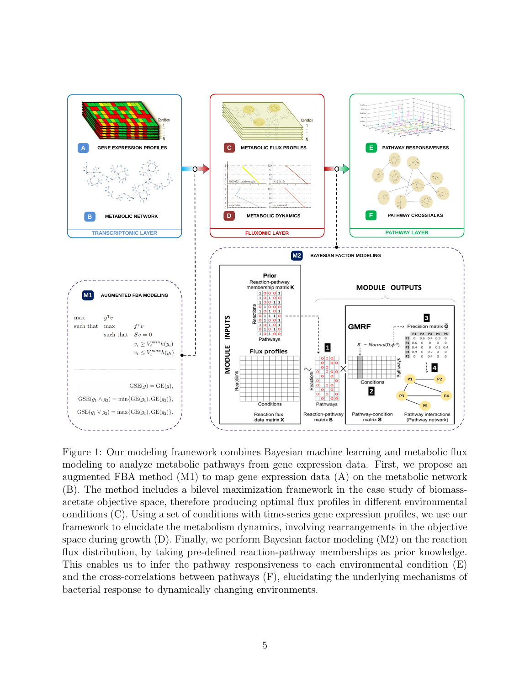

Figure 1: Our modeling framework combines Bayesian machine learning and metabolic flux modeling to analyze metabolic pathways from gene expression data. First, we propose an augmented FBA method  $(M1)$  to map gene expression data  $(A)$  on the metabolic network (B). The method includes a bilevel maximization framework in the case study of biomassacetate objective space, therefore producing optimal flux profiles in different environmental conditions (C). Using a set of conditions with time-series gene expression profiles, we use our framework to elucidate the metabolism dynamics, involving rearrangements in the objective space during growth (D). Finally, we perform Bayesian factor modeling (M2) on the reaction flux distribution, by taking pre-defined reaction-pathway memberships as prior knowledge. This enables us to infer the pathway responsiveness to each environmental condition (E) and the cross-correlations between pathways (F), elucidating the underlying mechanisms of bacterial response to dynamically changing environments.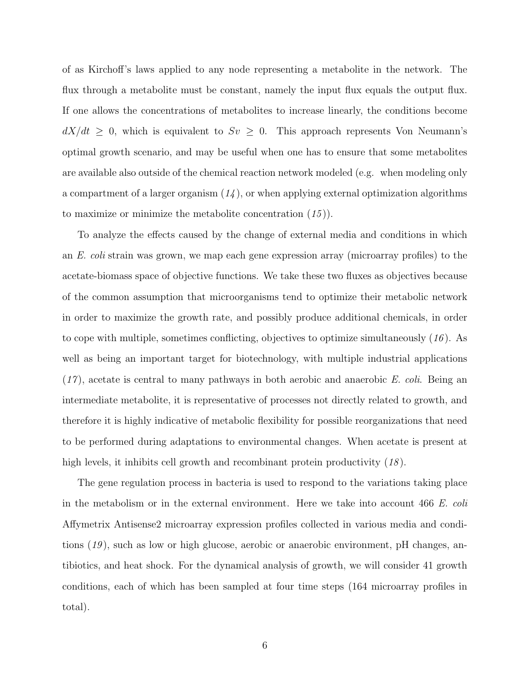of as Kirchoff's laws applied to any node representing a metabolite in the network. The flux through a metabolite must be constant, namely the input flux equals the output flux. If one allows the concentrations of metabolites to increase linearly, the conditions become  $dX/dt \geq 0$ , which is equivalent to  $Sv \geq 0$ . This approach represents Von Neumann's optimal growth scenario, and may be useful when one has to ensure that some metabolites are available also outside of the chemical reaction network modeled (e.g. when modeling only a compartment of a larger organism  $(14)$ , or when applying external optimization algorithms to maximize or minimize the metabolite concentration  $(15)$ ).

To analyze the effects caused by the change of external media and conditions in which an E. coli strain was grown, we map each gene expression array (microarray profiles) to the acetate-biomass space of objective functions. We take these two fluxes as objectives because of the common assumption that microorganisms tend to optimize their metabolic network in order to maximize the growth rate, and possibly produce additional chemicals, in order to cope with multiple, sometimes conflicting, objectives to optimize simultaneously  $(16)$ . As well as being an important target for biotechnology, with multiple industrial applications  $(17)$ , acetate is central to many pathways in both aerobic and anaerobic E. coli. Being an intermediate metabolite, it is representative of processes not directly related to growth, and therefore it is highly indicative of metabolic flexibility for possible reorganizations that need to be performed during adaptations to environmental changes. When acetate is present at high levels, it inhibits cell growth and recombinant protein productivity (18).

The gene regulation process in bacteria is used to respond to the variations taking place in the metabolism or in the external environment. Here we take into account 466 E. coli Affymetrix Antisense2 microarray expression profiles collected in various media and conditions (19 ), such as low or high glucose, aerobic or anaerobic environment, pH changes, antibiotics, and heat shock. For the dynamical analysis of growth, we will consider 41 growth conditions, each of which has been sampled at four time steps (164 microarray profiles in total).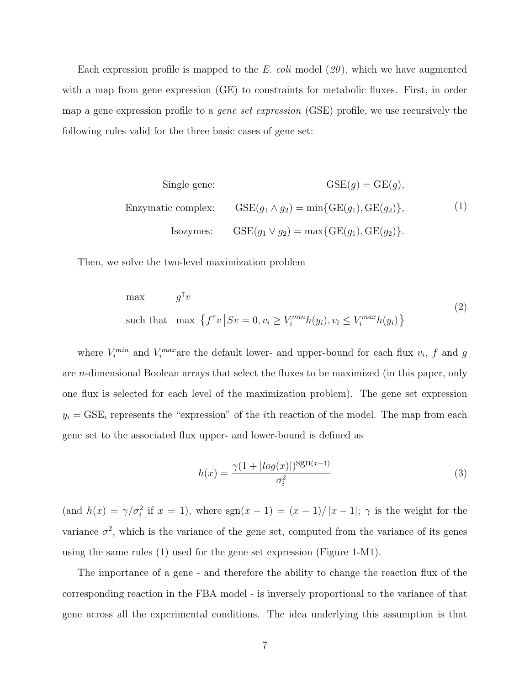Each expression profile is mapped to the E. coli model  $(20)$ , which we have augmented with a map from gene expression (GE) to constraints for metabolic fluxes. First, in order map a gene expression profile to a gene set expression (GSE) profile, we use recursively the following rules valid for the three basic cases of gene set:

Single gene: 
$$
GSE(g) = GE(g),
$$
  
Enzymatic complex: 
$$
GSE(g_1 \wedge g_2) = \min\{GE(g_1), GE(g_2)\},
$$
 (1)  
Isozynes: 
$$
GSE(g_1 \vee g_2) = \max\{GE(g_1), GE(g_2)\}.
$$

Then, we solve the two-level maximization problem

max 
$$
g^{\mathsf{T}}v
$$
  
such that max  $\{f^{\mathsf{T}}v | Sv = 0, v_i \ge V_i^{min}h(y_i), v_i \le V_i^{max}h(y_i)\}$  (2)

where  $V_i^{min}$  and  $V_i^{max}$  are the default lower- and upper-bound for each flux  $v_i$ , f and g are n-dimensional Boolean arrays that select the fluxes to be maximized (in this paper, only one flux is selected for each level of the maximization problem). The gene set expression  $y_i = GSE_i$  represents the "expression" of the *i*th reaction of the model. The map from each gene set to the associated flux upper- and lower-bound is defined as

$$
h(x) = \frac{\gamma (1 + |log(x)|)^{\text{sgn}(x-1)}}{\sigma_i^2}
$$
\n(3)

(and  $h(x) = \gamma/\sigma_i^2$  if  $x = 1$ ), where  $sgn(x - 1) = (x - 1)/|x - 1|$ ;  $\gamma$  is the weight for the variance  $\sigma^2$ , which is the variance of the gene set, computed from the variance of its genes using the same rules (1) used for the gene set expression (Figure 1-M1).

The importance of a gene - and therefore the ability to change the reaction flux of the corresponding reaction in the FBA model - is inversely proportional to the variance of that gene across all the experimental conditions. The idea underlying this assumption is that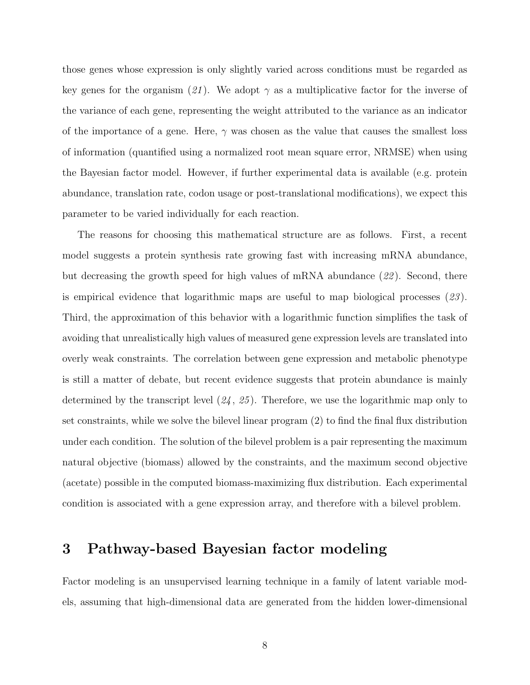those genes whose expression is only slightly varied across conditions must be regarded as key genes for the organism (21). We adopt  $\gamma$  as a multiplicative factor for the inverse of the variance of each gene, representing the weight attributed to the variance as an indicator of the importance of a gene. Here,  $\gamma$  was chosen as the value that causes the smallest loss of information (quantified using a normalized root mean square error, NRMSE) when using the Bayesian factor model. However, if further experimental data is available (e.g. protein abundance, translation rate, codon usage or post-translational modifications), we expect this parameter to be varied individually for each reaction.

The reasons for choosing this mathematical structure are as follows. First, a recent model suggests a protein synthesis rate growing fast with increasing mRNA abundance, but decreasing the growth speed for high values of mRNA abundance  $(22)$ . Second, there is empirical evidence that logarithmic maps are useful to map biological processes  $(23)$ . Third, the approximation of this behavior with a logarithmic function simplifies the task of avoiding that unrealistically high values of measured gene expression levels are translated into overly weak constraints. The correlation between gene expression and metabolic phenotype is still a matter of debate, but recent evidence suggests that protein abundance is mainly determined by the transcript level  $(24, 25)$ . Therefore, we use the logarithmic map only to set constraints, while we solve the bilevel linear program (2) to find the final flux distribution under each condition. The solution of the bilevel problem is a pair representing the maximum natural objective (biomass) allowed by the constraints, and the maximum second objective (acetate) possible in the computed biomass-maximizing flux distribution. Each experimental condition is associated with a gene expression array, and therefore with a bilevel problem.

## 3 Pathway-based Bayesian factor modeling

Factor modeling is an unsupervised learning technique in a family of latent variable models, assuming that high-dimensional data are generated from the hidden lower-dimensional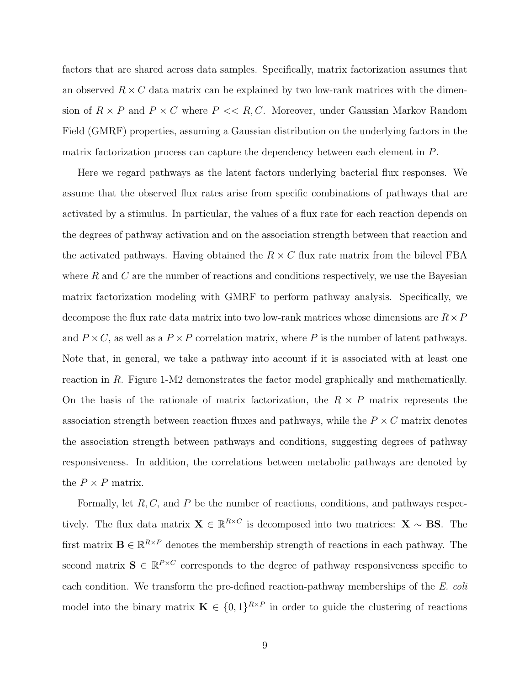factors that are shared across data samples. Specifically, matrix factorization assumes that an observed  $R \times C$  data matrix can be explained by two low-rank matrices with the dimension of  $R \times P$  and  $P \times C$  where  $P \ll R, C$ . Moreover, under Gaussian Markov Random Field (GMRF) properties, assuming a Gaussian distribution on the underlying factors in the matrix factorization process can capture the dependency between each element in P.

Here we regard pathways as the latent factors underlying bacterial flux responses. We assume that the observed flux rates arise from specific combinations of pathways that are activated by a stimulus. In particular, the values of a flux rate for each reaction depends on the degrees of pathway activation and on the association strength between that reaction and the activated pathways. Having obtained the  $R \times C$  flux rate matrix from the bilevel FBA where  $R$  and  $C$  are the number of reactions and conditions respectively, we use the Bayesian matrix factorization modeling with GMRF to perform pathway analysis. Specifically, we decompose the flux rate data matrix into two low-rank matrices whose dimensions are  $R \times P$ and  $P \times C$ , as well as a  $P \times P$  correlation matrix, where P is the number of latent pathways. Note that, in general, we take a pathway into account if it is associated with at least one reaction in R. Figure 1-M2 demonstrates the factor model graphically and mathematically. On the basis of the rationale of matrix factorization, the  $R \times P$  matrix represents the association strength between reaction fluxes and pathways, while the  $P \times C$  matrix denotes the association strength between pathways and conditions, suggesting degrees of pathway responsiveness. In addition, the correlations between metabolic pathways are denoted by the  $P \times P$  matrix.

Formally, let  $R, C$ , and  $P$  be the number of reactions, conditions, and pathways respectively. The flux data matrix  $\mathbf{X} \in \mathbb{R}^{R \times C}$  is decomposed into two matrices:  $\mathbf{X} \sim \mathbf{BS}$ . The first matrix  $\mathbf{B} \in \mathbb{R}^{R \times P}$  denotes the membership strength of reactions in each pathway. The second matrix  $S \in \mathbb{R}^{P \times C}$  corresponds to the degree of pathway responsiveness specific to each condition. We transform the pre-defined reaction-pathway memberships of the E. coli model into the binary matrix  $\mathbf{K} \in \{0,1\}^{R \times P}$  in order to guide the clustering of reactions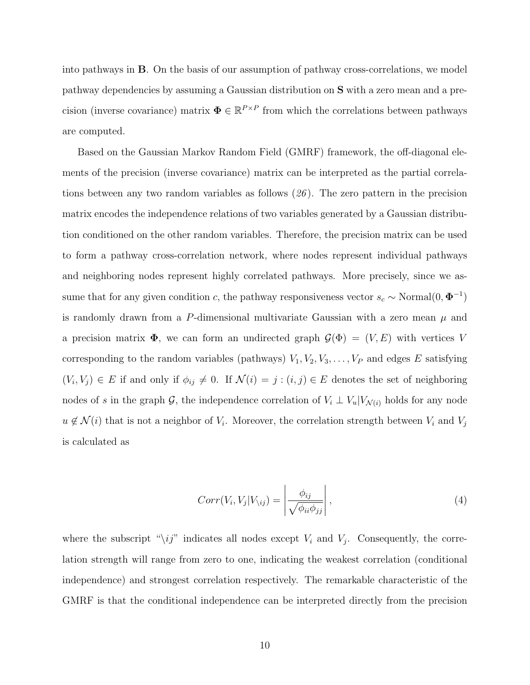into pathways in B. On the basis of our assumption of pathway cross-correlations, we model pathway dependencies by assuming a Gaussian distribution on S with a zero mean and a precision (inverse covariance) matrix  $\mathbf{\Phi} \in \mathbb{R}^{P \times P}$  from which the correlations between pathways are computed.

Based on the Gaussian Markov Random Field (GMRF) framework, the off-diagonal elements of the precision (inverse covariance) matrix can be interpreted as the partial correlations between any two random variables as follows (26 ). The zero pattern in the precision matrix encodes the independence relations of two variables generated by a Gaussian distribution conditioned on the other random variables. Therefore, the precision matrix can be used to form a pathway cross-correlation network, where nodes represent individual pathways and neighboring nodes represent highly correlated pathways. More precisely, since we assume that for any given condition c, the pathway responsiveness vector  $s_c \sim \text{Normal}(0, \Phi^{-1})$ is randomly drawn from a P-dimensional multivariate Gaussian with a zero mean  $\mu$  and a precision matrix  $\Phi$ , we can form an undirected graph  $\mathcal{G}(\Phi) = (V, E)$  with vertices V corresponding to the random variables (pathways)  $V_1, V_2, V_3, \ldots, V_P$  and edges E satisfying  $(V_i, V_j) \in E$  if and only if  $\phi_{ij} \neq 0$ . If  $\mathcal{N}(i) = j : (i, j) \in E$  denotes the set of neighboring nodes of s in the graph G, the independence correlation of  $V_i \perp V_u | V_{\mathcal{N}(i)}$  holds for any node  $u \notin \mathcal{N}(i)$  that is not a neighbor of  $V_i$ . Moreover, the correlation strength between  $V_i$  and  $V_j$ is calculated as

$$
Corr(V_i, V_j | V_{\backslash ij}) = \left| \frac{\phi_{ij}}{\sqrt{\phi_{ii} \phi_{jj}}} \right|,
$$
\n(4)

where the subscript " $\langle ij \rangle$ " indicates all nodes except  $V_i$  and  $V_j$ . Consequently, the correlation strength will range from zero to one, indicating the weakest correlation (conditional independence) and strongest correlation respectively. The remarkable characteristic of the GMRF is that the conditional independence can be interpreted directly from the precision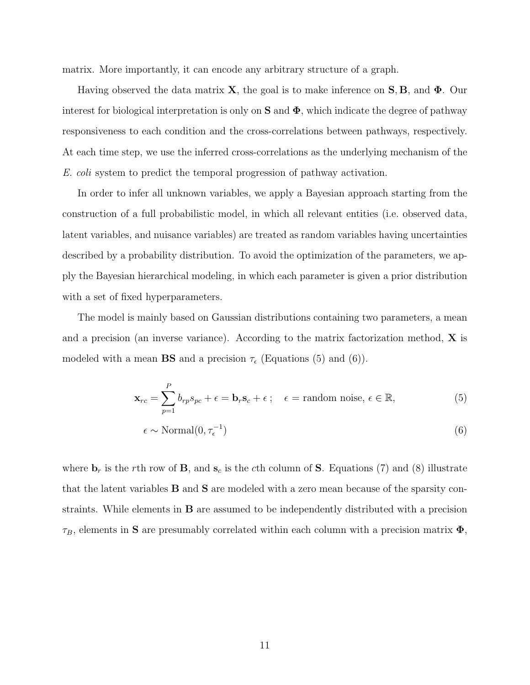matrix. More importantly, it can encode any arbitrary structure of a graph.

Having observed the data matrix **X**, the goal is to make inference on **S**, **B**, and  $\Phi$ . Our interest for biological interpretation is only on  $S$  and  $\Phi$ , which indicate the degree of pathway responsiveness to each condition and the cross-correlations between pathways, respectively. At each time step, we use the inferred cross-correlations as the underlying mechanism of the E. coli system to predict the temporal progression of pathway activation.

In order to infer all unknown variables, we apply a Bayesian approach starting from the construction of a full probabilistic model, in which all relevant entities (i.e. observed data, latent variables, and nuisance variables) are treated as random variables having uncertainties described by a probability distribution. To avoid the optimization of the parameters, we apply the Bayesian hierarchical modeling, in which each parameter is given a prior distribution with a set of fixed hyperparameters.

The model is mainly based on Gaussian distributions containing two parameters, a mean and a precision (an inverse variance). According to the matrix factorization method,  $\bf{X}$  is modeled with a mean **BS** and a precision  $\tau_{\epsilon}$  (Equations (5) and (6)).

$$
\mathbf{x}_{rc} = \sum_{p=1}^{P} b_{rp} s_{pc} + \epsilon = \mathbf{b}_r \mathbf{s}_c + \epsilon \, ; \quad \epsilon = \text{random noise}, \, \epsilon \in \mathbb{R}, \tag{5}
$$

$$
\epsilon \sim \text{Normal}(0, \tau_{\epsilon}^{-1}) \tag{6}
$$

where  $\mathbf{b}_r$  is the rth row of  $\mathbf{B}$ , and  $\mathbf{s}_c$  is the cth column of  $\mathbf{S}$ . Equations (7) and (8) illustrate that the latent variables B and S are modeled with a zero mean because of the sparsity constraints. While elements in B are assumed to be independently distributed with a precision  $\tau_B$ , elements in S are presumably correlated within each column with a precision matrix  $\Phi$ ,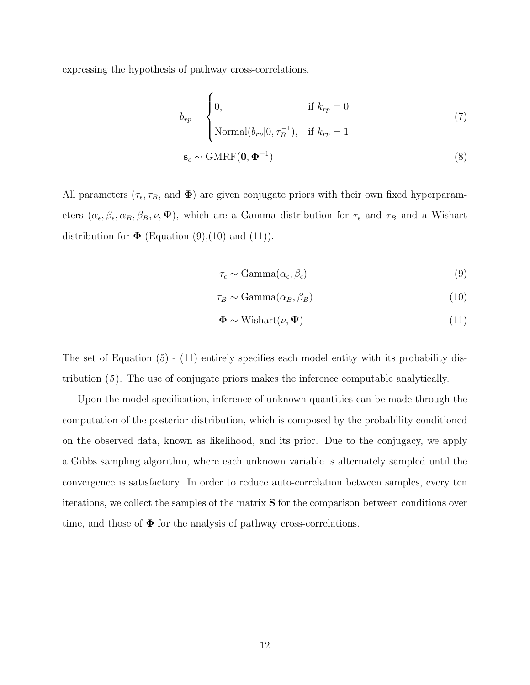expressing the hypothesis of pathway cross-correlations.

$$
b_{rp} = \begin{cases} 0, & \text{if } k_{rp} = 0 \\ \text{Normal}(b_{rp}|0, \tau_B^{-1}), & \text{if } k_{rp} = 1 \end{cases}
$$
(7)  

$$
\mathbf{s}_c \sim \text{GMRF}(\mathbf{0}, \mathbf{\Phi}^{-1})
$$
(8)

All parameters  $(\tau_{\epsilon}, \tau_B, \text{ and } \Phi)$  are given conjugate priors with their own fixed hyperparameters  $(\alpha_{\epsilon}, \beta_{\epsilon}, \alpha_B, \beta_B, \nu, \Psi)$ , which are a Gamma distribution for  $\tau_{\epsilon}$  and  $\tau_B$  and a Wishart distribution for  $\Phi$  (Equation (9), (10) and (11)).

$$
\tau_{\epsilon} \sim \text{Gamma}(\alpha_{\epsilon}, \beta_{\epsilon}) \tag{9}
$$

$$
\tau_B \sim \text{Gamma}(\alpha_B, \beta_B) \tag{10}
$$

$$
\Phi \sim \text{Wishart}(\nu, \Psi) \tag{11}
$$

The set of Equation (5) - (11) entirely specifies each model entity with its probability distribution (5 ). The use of conjugate priors makes the inference computable analytically.

Upon the model specification, inference of unknown quantities can be made through the computation of the posterior distribution, which is composed by the probability conditioned on the observed data, known as likelihood, and its prior. Due to the conjugacy, we apply a Gibbs sampling algorithm, where each unknown variable is alternately sampled until the convergence is satisfactory. In order to reduce auto-correlation between samples, every ten iterations, we collect the samples of the matrix S for the comparison between conditions over time, and those of  $\Phi$  for the analysis of pathway cross-correlations.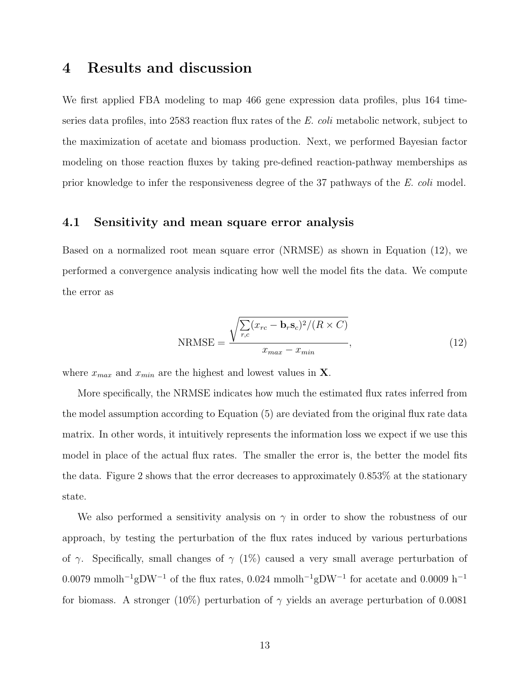## 4 Results and discussion

We first applied FBA modeling to map 466 gene expression data profiles, plus 164 timeseries data profiles, into 2583 reaction flux rates of the E. coli metabolic network, subject to the maximization of acetate and biomass production. Next, we performed Bayesian factor modeling on those reaction fluxes by taking pre-defined reaction-pathway memberships as prior knowledge to infer the responsiveness degree of the 37 pathways of the E. coli model.

#### 4.1 Sensitivity and mean square error analysis

Based on a normalized root mean square error (NRMSE) as shown in Equation (12), we performed a convergence analysis indicating how well the model fits the data. We compute the error as

$$
NRMSE = \frac{\sqrt{\sum_{r,c} (x_{rc} - \mathbf{b}_r \mathbf{s}_c)^2 / (R \times C)}}{x_{max} - x_{min}},
$$
\n(12)

where  $x_{max}$  and  $x_{min}$  are the highest and lowest values in **X**.

More specifically, the NRMSE indicates how much the estimated flux rates inferred from the model assumption according to Equation (5) are deviated from the original flux rate data matrix. In other words, it intuitively represents the information loss we expect if we use this model in place of the actual flux rates. The smaller the error is, the better the model fits the data. Figure 2 shows that the error decreases to approximately 0.853% at the stationary state.

We also performed a sensitivity analysis on  $\gamma$  in order to show the robustness of our approach, by testing the perturbation of the flux rates induced by various perturbations of  $\gamma$ . Specifically, small changes of  $\gamma$  (1%) caused a very small average perturbation of 0.0079 mmolh<sup>-1</sup>gDW<sup>-1</sup> of the flux rates, 0.024 mmolh<sup>-1</sup>gDW<sup>-1</sup> for acetate and 0.0009 h<sup>-1</sup> for biomass. A stronger (10%) perturbation of  $\gamma$  yields an average perturbation of 0.0081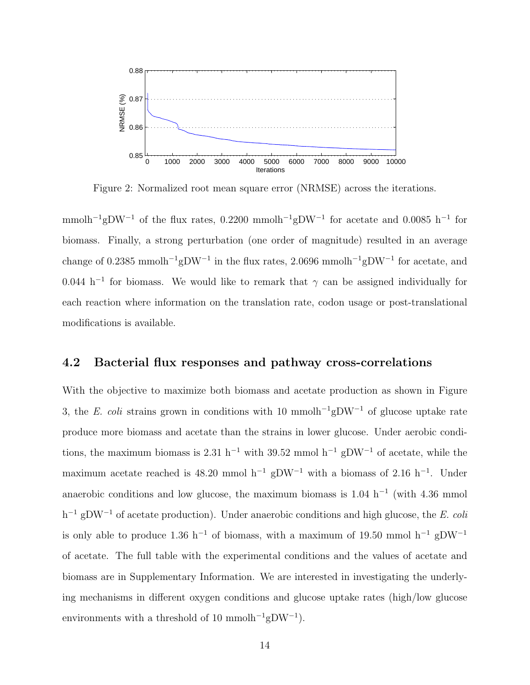

Figure 2: Normalized root mean square error (NRMSE) across the iterations.

mmolh<sup>-1</sup>gDW<sup>-1</sup> of the flux rates, 0.2200 mmolh<sup>-1</sup>gDW<sup>-1</sup> for acetate and 0.0085 h<sup>-1</sup> for biomass. Finally, a strong perturbation (one order of magnitude) resulted in an average change of 0.2385 mmol $h^{-1}$ gDW<sup>-1</sup> in the flux rates, 2.0696 mmol $h^{-1}$ gDW<sup>-1</sup> for acetate, and 0.044 h<sup>-1</sup> for biomass. We would like to remark that  $\gamma$  can be assigned individually for each reaction where information on the translation rate, codon usage or post-translational modifications is available.

#### 4.2 Bacterial flux responses and pathway cross-correlations

With the objective to maximize both biomass and acetate production as shown in Figure 3, the E. coli strains grown in conditions with 10 mmolh<sup>-1</sup>gDW<sup>-1</sup> of glucose uptake rate produce more biomass and acetate than the strains in lower glucose. Under aerobic conditions, the maximum biomass is 2.31 h<sup>-1</sup> with 39.52 mmol h<sup>-1</sup> gDW<sup>-1</sup> of acetate, while the maximum acetate reached is 48.20 mmol h<sup>-1</sup> gDW<sup>-1</sup> with a biomass of 2.16 h<sup>-1</sup>. Under anaerobic conditions and low glucose, the maximum biomass is  $1.04 \text{ h}^{-1}$  (with 4.36 mmol h<sup>-1</sup> gDW<sup>-1</sup> of acetate production). Under anaerobic conditions and high glucose, the E. coli is only able to produce 1.36 h<sup>-1</sup> of biomass, with a maximum of 19.50 mmol h<sup>-1</sup> gDW<sup>-1</sup> of acetate. The full table with the experimental conditions and the values of acetate and biomass are in Supplementary Information. We are interested in investigating the underlying mechanisms in different oxygen conditions and glucose uptake rates (high/low glucose environments with a threshold of 10 mmol $h^{-1}gDW^{-1}$ .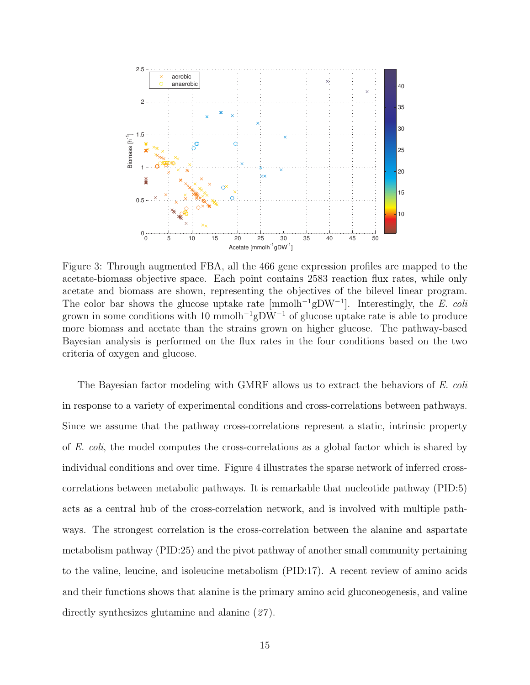

Figure 3: Through augmented FBA, all the 466 gene expression profiles are mapped to the acetate-biomass objective space. Each point contains 2583 reaction flux rates, while only acetate and biomass are shown, representing the objectives of the bilevel linear program. The color bar shows the glucose uptake rate  ${\rm [mmolh^{-1}gDW^{-1}]}$ . Interestingly, the E. coli grown in some conditions with 10 mmolh<sup>-1</sup>gDW<sup>-1</sup> of glucose uptake rate is able to produce more biomass and acetate than the strains grown on higher glucose. The pathway-based Bayesian analysis is performed on the flux rates in the four conditions based on the two criteria of oxygen and glucose.

The Bayesian factor modeling with GMRF allows us to extract the behaviors of E. coli in response to a variety of experimental conditions and cross-correlations between pathways. Since we assume that the pathway cross-correlations represent a static, intrinsic property of E. coli, the model computes the cross-correlations as a global factor which is shared by individual conditions and over time. Figure 4 illustrates the sparse network of inferred crosscorrelations between metabolic pathways. It is remarkable that nucleotide pathway (PID:5) acts as a central hub of the cross-correlation network, and is involved with multiple pathways. The strongest correlation is the cross-correlation between the alanine and aspartate metabolism pathway (PID:25) and the pivot pathway of another small community pertaining to the valine, leucine, and isoleucine metabolism (PID:17). A recent review of amino acids and their functions shows that alanine is the primary amino acid gluconeogenesis, and valine directly synthesizes glutamine and alanine  $(27)$ .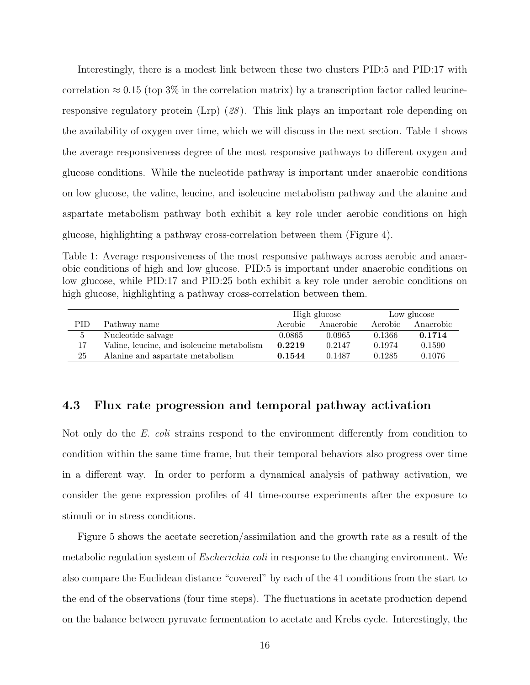Interestingly, there is a modest link between these two clusters PID:5 and PID:17 with correlation  $\approx 0.15$  (top 3% in the correlation matrix) by a transcription factor called leucineresponsive regulatory protein (Lrp) (28 ). This link plays an important role depending on the availability of oxygen over time, which we will discuss in the next section. Table 1 shows the average responsiveness degree of the most responsive pathways to different oxygen and glucose conditions. While the nucleotide pathway is important under anaerobic conditions on low glucose, the valine, leucine, and isoleucine metabolism pathway and the alanine and aspartate metabolism pathway both exhibit a key role under aerobic conditions on high glucose, highlighting a pathway cross-correlation between them (Figure 4).

Table 1: Average responsiveness of the most responsive pathways across aerobic and anaerobic conditions of high and low glucose. PID:5 is important under anaerobic conditions on low glucose, while PID:17 and PID:25 both exhibit a key role under aerobic conditions on high glucose, highlighting a pathway cross-correlation between them.

|     |                                            | High glucose |           | Low glucose |           |
|-----|--------------------------------------------|--------------|-----------|-------------|-----------|
| PID | Pathway name                               | Aerobic      | Anaerobic | Aerobic     | Anaerobic |
| 5   | Nucleotide salvage                         | 0.0865       | 0.0965    | 0.1366      | 0.1714    |
| 17  | Valine, leucine, and isoleucine metabolism | 0.2219       | 0.2147    | 0.1974      | 0.1590    |
| 25  | Alanine and aspartate metabolism           | 0.1544       | 0.1487    | 0.1285      | 0.1076    |

#### 4.3 Flux rate progression and temporal pathway activation

Not only do the E. coli strains respond to the environment differently from condition to condition within the same time frame, but their temporal behaviors also progress over time in a different way. In order to perform a dynamical analysis of pathway activation, we consider the gene expression profiles of 41 time-course experiments after the exposure to stimuli or in stress conditions.

Figure 5 shows the acetate secretion/assimilation and the growth rate as a result of the metabolic regulation system of *Escherichia coli* in response to the changing environment. We also compare the Euclidean distance "covered" by each of the 41 conditions from the start to the end of the observations (four time steps). The fluctuations in acetate production depend on the balance between pyruvate fermentation to acetate and Krebs cycle. Interestingly, the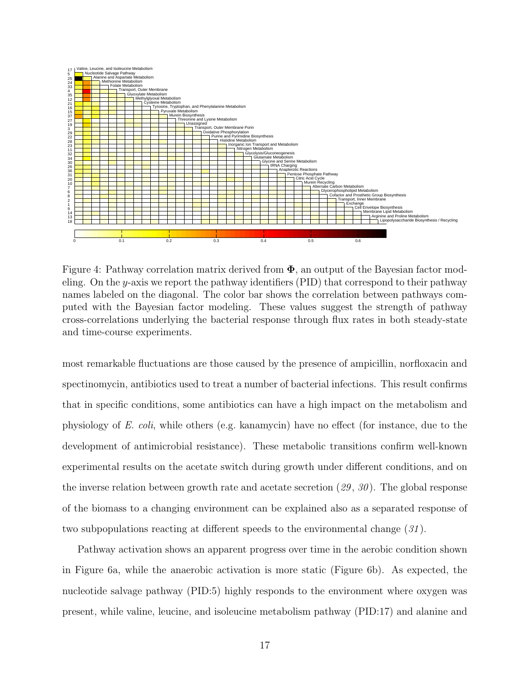

Figure 4: Pathway correlation matrix derived from  $\Phi$ , an output of the Bayesian factor modeling. On the y-axis we report the pathway identifiers  $(PID)$  that correspond to their pathway names labeled on the diagonal. The color bar shows the correlation between pathways computed with the Bayesian factor modeling. These values suggest the strength of pathway cross-correlations underlying the bacterial response through flux rates in both steady-state and time-course experiments.

most remarkable fluctuations are those caused by the presence of ampicillin, norfloxacin and spectinomycin, antibiotics used to treat a number of bacterial infections. This result confirms that in specific conditions, some antibiotics can have a high impact on the metabolism and physiology of E. coli, while others (e.g. kanamycin) have no effect (for instance, due to the development of antimicrobial resistance). These metabolic transitions confirm well-known experimental results on the acetate switch during growth under different conditions, and on the inverse relation between growth rate and acetate secretion  $(29, 30)$ . The global response of the biomass to a changing environment can be explained also as a separated response of two subpopulations reacting at different speeds to the environmental change (31 ).

Pathway activation shows an apparent progress over time in the aerobic condition shown in Figure 6a, while the anaerobic activation is more static (Figure 6b). As expected, the nucleotide salvage pathway (PID:5) highly responds to the environment where oxygen was present, while valine, leucine, and isoleucine metabolism pathway (PID:17) and alanine and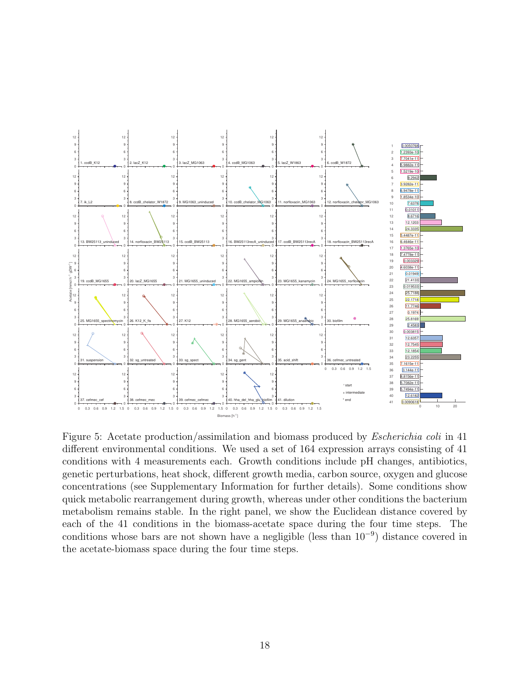

Figure 5: Acetate production/assimilation and biomass produced by *Escherichia coli* in 41 different environmental conditions. We used a set of 164 expression arrays consisting of 41 conditions with 4 measurements each. Growth conditions include pH changes, antibiotics, genetic perturbations, heat shock, different growth media, carbon source, oxygen and glucose concentrations (see Supplementary Information for further details). Some conditions show quick metabolic rearrangement during growth, whereas under other conditions the bacterium metabolism remains stable. In the right panel, we show the Euclidean distance covered by each of the 41 conditions in the biomass-acetate space during the four time steps. The conditions whose bars are not shown have a negligible (less than 10<sup>−</sup><sup>9</sup> ) distance covered in the acetate-biomass space during the four time steps.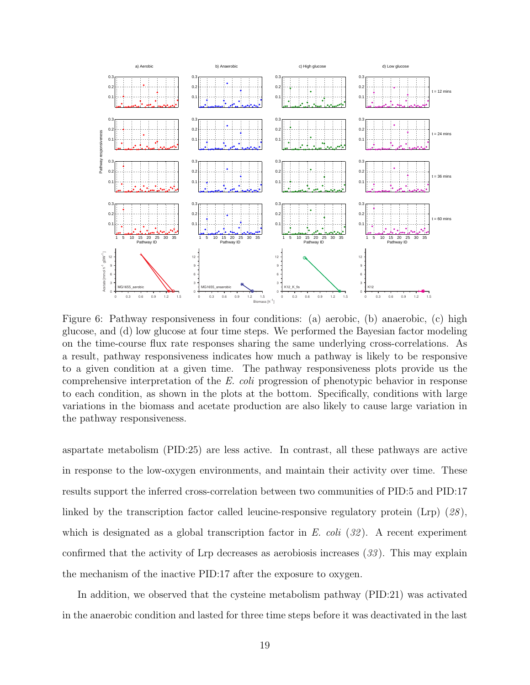

Figure 6: Pathway responsiveness in four conditions: (a) aerobic, (b) anaerobic, (c) high glucose, and (d) low glucose at four time steps. We performed the Bayesian factor modeling on the time-course flux rate responses sharing the same underlying cross-correlations. As a result, pathway responsiveness indicates how much a pathway is likely to be responsive to a given condition at a given time. The pathway responsiveness plots provide us the comprehensive interpretation of the E. coli progression of phenotypic behavior in response to each condition, as shown in the plots at the bottom. Specifically, conditions with large variations in the biomass and acetate production are also likely to cause large variation in the pathway responsiveness.

aspartate metabolism (PID:25) are less active. In contrast, all these pathways are active in response to the low-oxygen environments, and maintain their activity over time. These results support the inferred cross-correlation between two communities of PID:5 and PID:17 linked by the transcription factor called leucine-responsive regulatory protein  $(Lrp)$  (28), which is designated as a global transcription factor in E. coli  $(32)$ . A recent experiment confirmed that the activity of Lrp decreases as aerobiosis increases  $(33)$ . This may explain the mechanism of the inactive PID:17 after the exposure to oxygen.

In addition, we observed that the cysteine metabolism pathway (PID:21) was activated in the anaerobic condition and lasted for three time steps before it was deactivated in the last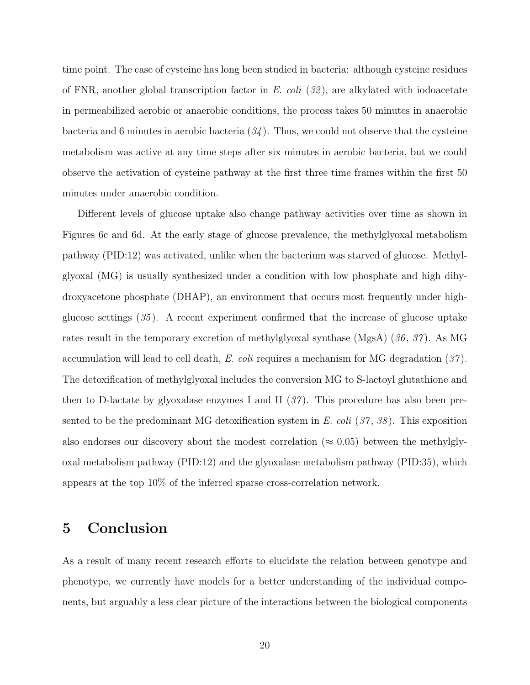time point. The case of cysteine has long been studied in bacteria: although cysteine residues of FNR, another global transcription factor in E. coli  $(32)$ , are alkylated with iodoacetate in permeabilized aerobic or anaerobic conditions, the process takes 50 minutes in anaerobic bacteria and 6 minutes in aerobic bacteria  $(34)$ . Thus, we could not observe that the cysteine metabolism was active at any time steps after six minutes in aerobic bacteria, but we could observe the activation of cysteine pathway at the first three time frames within the first 50 minutes under anaerobic condition.

Different levels of glucose uptake also change pathway activities over time as shown in Figures 6c and 6d. At the early stage of glucose prevalence, the methylglyoxal metabolism pathway (PID:12) was activated, unlike when the bacterium was starved of glucose. Methylglyoxal (MG) is usually synthesized under a condition with low phosphate and high dihydroxyacetone phosphate (DHAP), an environment that occurs most frequently under highglucose settings  $(35)$ . A recent experiment confirmed that the increase of glucose uptake rates result in the temporary excretion of methylglyoxal synthase  $(MgsA)$  (36, 37). As MG accumulation will lead to cell death, E. coli requires a mechanism for MG degradation  $(37)$ . The detoxification of methylglyoxal includes the conversion MG to S-lactoyl glutathione and then to D-lactate by glyoxalase enzymes I and II  $(37)$ . This procedure has also been presented to be the predominant MG detoxification system in E. coli  $(37, 38)$ . This exposition also endorses our discovery about the modest correlation ( $\approx 0.05$ ) between the methylglyoxal metabolism pathway (PID:12) and the glyoxalase metabolism pathway (PID:35), which appears at the top 10% of the inferred sparse cross-correlation network.

## 5 Conclusion

As a result of many recent research efforts to elucidate the relation between genotype and phenotype, we currently have models for a better understanding of the individual components, but arguably a less clear picture of the interactions between the biological components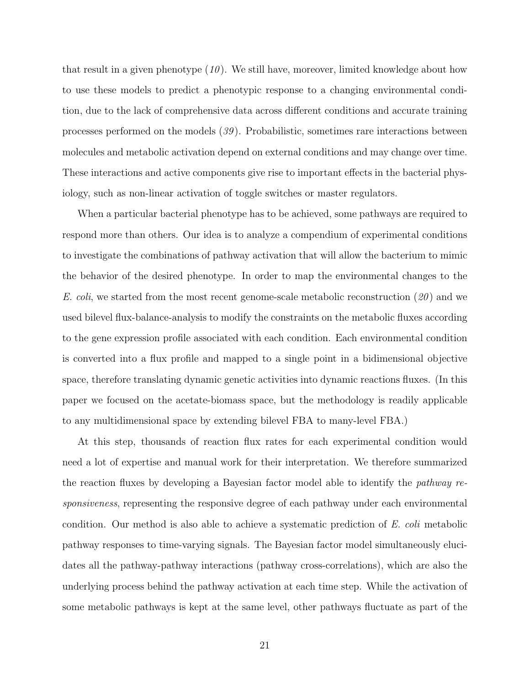that result in a given phenotype  $(10)$ . We still have, moreover, limited knowledge about how to use these models to predict a phenotypic response to a changing environmental condition, due to the lack of comprehensive data across different conditions and accurate training processes performed on the models (39 ). Probabilistic, sometimes rare interactions between molecules and metabolic activation depend on external conditions and may change over time. These interactions and active components give rise to important effects in the bacterial physiology, such as non-linear activation of toggle switches or master regulators.

When a particular bacterial phenotype has to be achieved, some pathways are required to respond more than others. Our idea is to analyze a compendium of experimental conditions to investigate the combinations of pathway activation that will allow the bacterium to mimic the behavior of the desired phenotype. In order to map the environmental changes to the E. coli, we started from the most recent genome-scale metabolic reconstruction  $(20)$  and we used bilevel flux-balance-analysis to modify the constraints on the metabolic fluxes according to the gene expression profile associated with each condition. Each environmental condition is converted into a flux profile and mapped to a single point in a bidimensional objective space, therefore translating dynamic genetic activities into dynamic reactions fluxes. (In this paper we focused on the acetate-biomass space, but the methodology is readily applicable to any multidimensional space by extending bilevel FBA to many-level FBA.)

At this step, thousands of reaction flux rates for each experimental condition would need a lot of expertise and manual work for their interpretation. We therefore summarized the reaction fluxes by developing a Bayesian factor model able to identify the pathway responsiveness, representing the responsive degree of each pathway under each environmental condition. Our method is also able to achieve a systematic prediction of E. coli metabolic pathway responses to time-varying signals. The Bayesian factor model simultaneously elucidates all the pathway-pathway interactions (pathway cross-correlations), which are also the underlying process behind the pathway activation at each time step. While the activation of some metabolic pathways is kept at the same level, other pathways fluctuate as part of the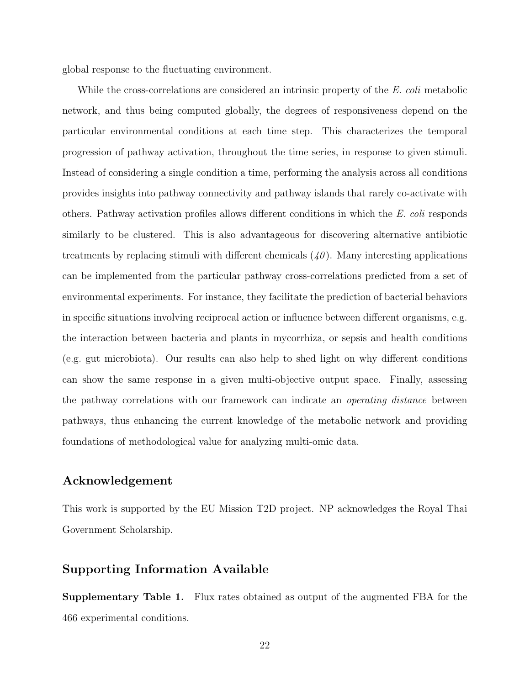global response to the fluctuating environment.

While the cross-correlations are considered an intrinsic property of the E. coli metabolic network, and thus being computed globally, the degrees of responsiveness depend on the particular environmental conditions at each time step. This characterizes the temporal progression of pathway activation, throughout the time series, in response to given stimuli. Instead of considering a single condition a time, performing the analysis across all conditions provides insights into pathway connectivity and pathway islands that rarely co-activate with others. Pathway activation profiles allows different conditions in which the E. coli responds similarly to be clustered. This is also advantageous for discovering alternative antibiotic treatments by replacing stimuli with different chemicals  $(40)$ . Many interesting applications can be implemented from the particular pathway cross-correlations predicted from a set of environmental experiments. For instance, they facilitate the prediction of bacterial behaviors in specific situations involving reciprocal action or influence between different organisms, e.g. the interaction between bacteria and plants in mycorrhiza, or sepsis and health conditions (e.g. gut microbiota). Our results can also help to shed light on why different conditions can show the same response in a given multi-objective output space. Finally, assessing the pathway correlations with our framework can indicate an *operating distance* between pathways, thus enhancing the current knowledge of the metabolic network and providing foundations of methodological value for analyzing multi-omic data.

#### Acknowledgement

This work is supported by the EU Mission T2D project. NP acknowledges the Royal Thai Government Scholarship.

#### Supporting Information Available

Supplementary Table 1. Flux rates obtained as output of the augmented FBA for the 466 experimental conditions.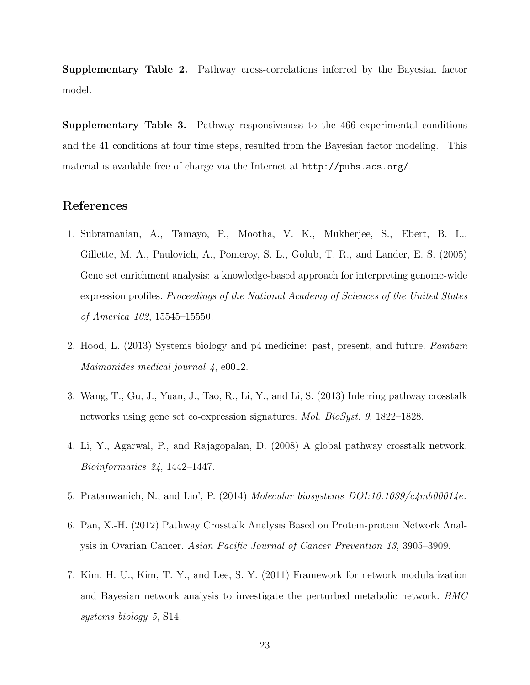Supplementary Table 2. Pathway cross-correlations inferred by the Bayesian factor model.

Supplementary Table 3. Pathway responsiveness to the 466 experimental conditions and the 41 conditions at four time steps, resulted from the Bayesian factor modeling. This material is available free of charge via the Internet at http://pubs.acs.org/.

#### References

- 1. Subramanian, A., Tamayo, P., Mootha, V. K., Mukherjee, S., Ebert, B. L., Gillette, M. A., Paulovich, A., Pomeroy, S. L., Golub, T. R., and Lander, E. S. (2005) Gene set enrichment analysis: a knowledge-based approach for interpreting genome-wide expression profiles. Proceedings of the National Academy of Sciences of the United States of America 102, 15545–15550.
- 2. Hood, L. (2013) Systems biology and p4 medicine: past, present, and future. Rambam Maimonides medical journal 4, e0012.
- 3. Wang, T., Gu, J., Yuan, J., Tao, R., Li, Y., and Li, S. (2013) Inferring pathway crosstalk networks using gene set co-expression signatures. Mol. BioSyst. 9, 1822–1828.
- 4. Li, Y., Agarwal, P., and Rajagopalan, D. (2008) A global pathway crosstalk network. Bioinformatics 24, 1442–1447.
- 5. Pratanwanich, N., and Lio', P. (2014) Molecular biosystems  $DOI:10.1039/c4mb00014e$ .
- 6. Pan, X.-H. (2012) Pathway Crosstalk Analysis Based on Protein-protein Network Analysis in Ovarian Cancer. Asian Pacific Journal of Cancer Prevention 13, 3905–3909.
- 7. Kim, H. U., Kim, T. Y., and Lee, S. Y. (2011) Framework for network modularization and Bayesian network analysis to investigate the perturbed metabolic network. BMC systems biology 5, S14.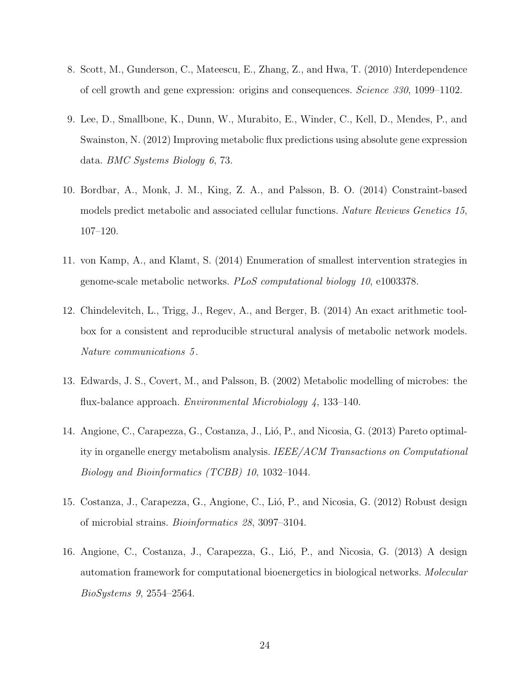- 8. Scott, M., Gunderson, C., Mateescu, E., Zhang, Z., and Hwa, T. (2010) Interdependence of cell growth and gene expression: origins and consequences. Science 330, 1099–1102.
- 9. Lee, D., Smallbone, K., Dunn, W., Murabito, E., Winder, C., Kell, D., Mendes, P., and Swainston, N. (2012) Improving metabolic flux predictions using absolute gene expression data. BMC Systems Biology 6, 73.
- 10. Bordbar, A., Monk, J. M., King, Z. A., and Palsson, B. O. (2014) Constraint-based models predict metabolic and associated cellular functions. Nature Reviews Genetics 15, 107–120.
- 11. von Kamp, A., and Klamt, S. (2014) Enumeration of smallest intervention strategies in genome-scale metabolic networks. PLoS computational biology 10, e1003378.
- 12. Chindelevitch, L., Trigg, J., Regev, A., and Berger, B. (2014) An exact arithmetic toolbox for a consistent and reproducible structural analysis of metabolic network models. Nature communications 5 .
- 13. Edwards, J. S., Covert, M., and Palsson, B. (2002) Metabolic modelling of microbes: the flux-balance approach. Environmental Microbiology 4, 133–140.
- 14. Angione, C., Carapezza, G., Costanza, J., Lió, P., and Nicosia, G. (2013) Pareto optimality in organelle energy metabolism analysis. IEEE/ACM Transactions on Computational Biology and Bioinformatics (TCBB) 10, 1032–1044.
- 15. Costanza, J., Carapezza, G., Angione, C., Lió, P., and Nicosia, G. (2012) Robust design of microbial strains. Bioinformatics 28, 3097–3104.
- 16. Angione, C., Costanza, J., Carapezza, G., Lió, P., and Nicosia, G. (2013) A design automation framework for computational bioenergetics in biological networks. Molecular BioSystems 9, 2554–2564.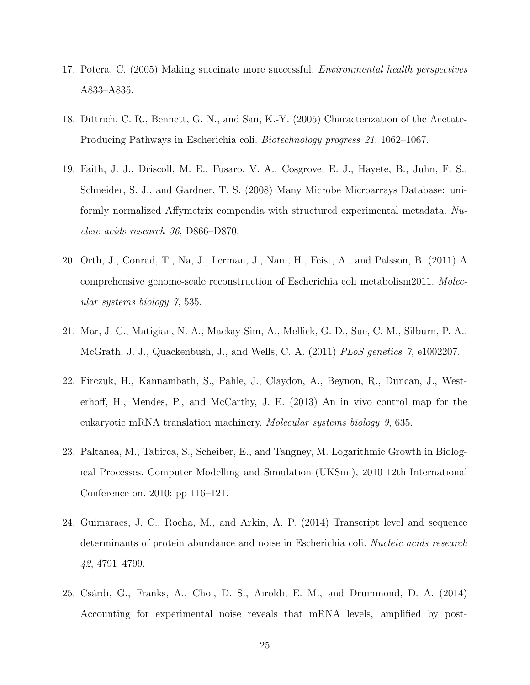- 17. Potera, C. (2005) Making succinate more successful. Environmental health perspectives A833–A835.
- 18. Dittrich, C. R., Bennett, G. N., and San, K.-Y. (2005) Characterization of the Acetate-Producing Pathways in Escherichia coli. Biotechnology progress 21, 1062–1067.
- 19. Faith, J. J., Driscoll, M. E., Fusaro, V. A., Cosgrove, E. J., Hayete, B., Juhn, F. S., Schneider, S. J., and Gardner, T. S. (2008) Many Microbe Microarrays Database: uniformly normalized Affymetrix compendia with structured experimental metadata. Nucleic acids research 36, D866–D870.
- 20. Orth, J., Conrad, T., Na, J., Lerman, J., Nam, H., Feist, A., and Palsson, B. (2011) A comprehensive genome-scale reconstruction of Escherichia coli metabolism2011. Molecular systems biology 7, 535.
- 21. Mar, J. C., Matigian, N. A., Mackay-Sim, A., Mellick, G. D., Sue, C. M., Silburn, P. A., McGrath, J. J., Quackenbush, J., and Wells, C. A. (2011) *PLoS genetics* 7, e1002207.
- 22. Firczuk, H., Kannambath, S., Pahle, J., Claydon, A., Beynon, R., Duncan, J., Westerhoff, H., Mendes, P., and McCarthy, J. E. (2013) An in vivo control map for the eukaryotic mRNA translation machinery. Molecular systems biology 9, 635.
- 23. Paltanea, M., Tabirca, S., Scheiber, E., and Tangney, M. Logarithmic Growth in Biological Processes. Computer Modelling and Simulation (UKSim), 2010 12th International Conference on. 2010; pp 116–121.
- 24. Guimaraes, J. C., Rocha, M., and Arkin, A. P. (2014) Transcript level and sequence determinants of protein abundance and noise in Escherichia coli. Nucleic acids research 42, 4791–4799.
- 25. Cs´ardi, G., Franks, A., Choi, D. S., Airoldi, E. M., and Drummond, D. A. (2014) Accounting for experimental noise reveals that mRNA levels, amplified by post-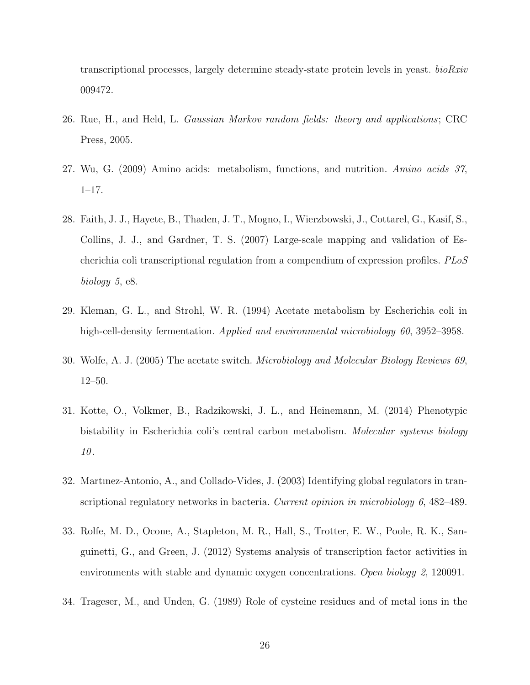transcriptional processes, largely determine steady-state protein levels in yeast. bioRxiv 009472.

- 26. Rue, H., and Held, L. Gaussian Markov random fields: theory and applications; CRC Press, 2005.
- 27. Wu, G. (2009) Amino acids: metabolism, functions, and nutrition. Amino acids 37, 1–17.
- 28. Faith, J. J., Hayete, B., Thaden, J. T., Mogno, I., Wierzbowski, J., Cottarel, G., Kasif, S., Collins, J. J., and Gardner, T. S. (2007) Large-scale mapping and validation of Escherichia coli transcriptional regulation from a compendium of expression profiles. PLoS biology 5, e8.
- 29. Kleman, G. L., and Strohl, W. R. (1994) Acetate metabolism by Escherichia coli in high-cell-density fermentation. Applied and environmental microbiology 60, 3952–3958.
- 30. Wolfe, A. J. (2005) The acetate switch. Microbiology and Molecular Biology Reviews 69, 12–50.
- 31. Kotte, O., Volkmer, B., Radzikowski, J. L., and Heinemann, M. (2014) Phenotypic bistability in Escherichia coli's central carbon metabolism. Molecular systems biology 10.
- 32. Martınez-Antonio, A., and Collado-Vides, J. (2003) Identifying global regulators in transcriptional regulatory networks in bacteria. Current opinion in microbiology 6, 482–489.
- 33. Rolfe, M. D., Ocone, A., Stapleton, M. R., Hall, S., Trotter, E. W., Poole, R. K., Sanguinetti, G., and Green, J. (2012) Systems analysis of transcription factor activities in environments with stable and dynamic oxygen concentrations. Open biology 2, 120091.
- 34. Trageser, M., and Unden, G. (1989) Role of cysteine residues and of metal ions in the